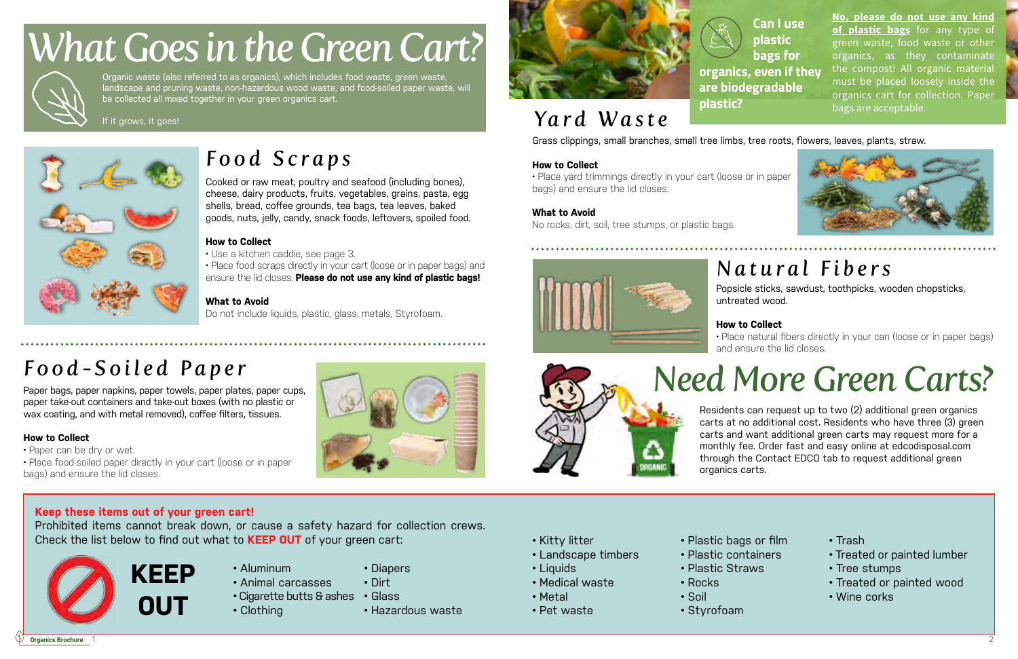**Organics Brochure**

Organic waste (also referred to as organics), which includes food waste, green waste, landscape and pruning waste, non-hazardous wood waste, and food-soiled paper waste, will be collected all mixed together in your green organics cart.

If it grows, it goes!



# *What Goes in the Green Cart?*



| Æ | . . | _ |  |  |
|---|-----|---|--|--|
|   | ш   | _ |  |  |

**OUT**





- Aluminum
- Animal carcasses
	-
- Clothing
- Diapers
- 
- Cigarette butts & ashes Glass • Hazardous waste
- 
- Dirt
- 
- 

# **Keep these items out of your green cart!**

Prohibited items cannot break down, or cause a safety hazard for collection crews. Check the list below to find out what to **KEEP OUT** of your green cart:



# *Food-Soiled Paper*

Paper bags, paper napkins, paper towels, paper plates, paper cups, paper take-out containers and take-out boxes (with no plastic or wax coating, and with metal removed), coffee filters, tissues.

# **How to Collect**

• Paper can be dry or wet.

• Place food-soiled paper directly in your cart (loose or in paper bags) and ensure the lid closes.

# *Food Scraps*

Cooked or raw meat, poultry and seafood (including bones), cheese, dairy products, fruits, vegetables, grains, pasta, egg shells, bread, coffee grounds, tea bags, tea leaves, baked goods, nuts, jelly, candy, snack foods, leftovers, spoiled food.

**No, please do not use any kind of plastic bags** for any type of green waste, food waste or other organics, as they contaminate the compost! All organic material must be placed loosely inside the organics cart for collection. Paper bags are acceptable.

## **How to Collect**

- Use a kitchen caddie, see page 3.
- Place food scraps directly in your cart (loose or in paper bags) and ensure the lid closes. **Please do not use any kind of plastic bags!**

## **What to Avoid**

Do not include liquids, plastic, glass, metals, Styrofoam.

- Kitty litter
- Landscape timbers
- Liquids
- Medical waste
- Metal
- Pet waste
- Plastic bags or film
- Plastic containers
- Plastic Straws
- Rocks • Soil
- 
- Styrofoam
- Trash
- Treated or painted lumber
- Tree stumps
- Treated or painted wood
- Wine corks

Residents can request up to two (2) additional green organics carts at no additional cost. Residents who have three (3) green carts and want additional green carts may request more for a monthly fee. Order fast and easy online at edcodisposal.com through the Contact EDCO tab to request additional green organics carts.

*Yard Waste*

**Can I use plastic bags for organics, even if they are biodegradable** 

**plastic?**

# *Need More Green Carts?*

Grass clippings, small branches, small tree limbs, tree roots, flowers, leaves, plants, straw.



**How to Collect**

• Place yard trimmings directly in your cart (loose or in paper

bags) and ensure the lid closes.

**What to Avoid**

No rocks, dirt, soil, tree stumps, or plastic bags.

# *Natural Fibers*

Popsicle sticks, sawdust, toothpicks, wooden chopsticks, untreated wood.

# **How to Collect**

• Place natural fibers directly in your can (loose or in paper bags) and ensure the lid closes.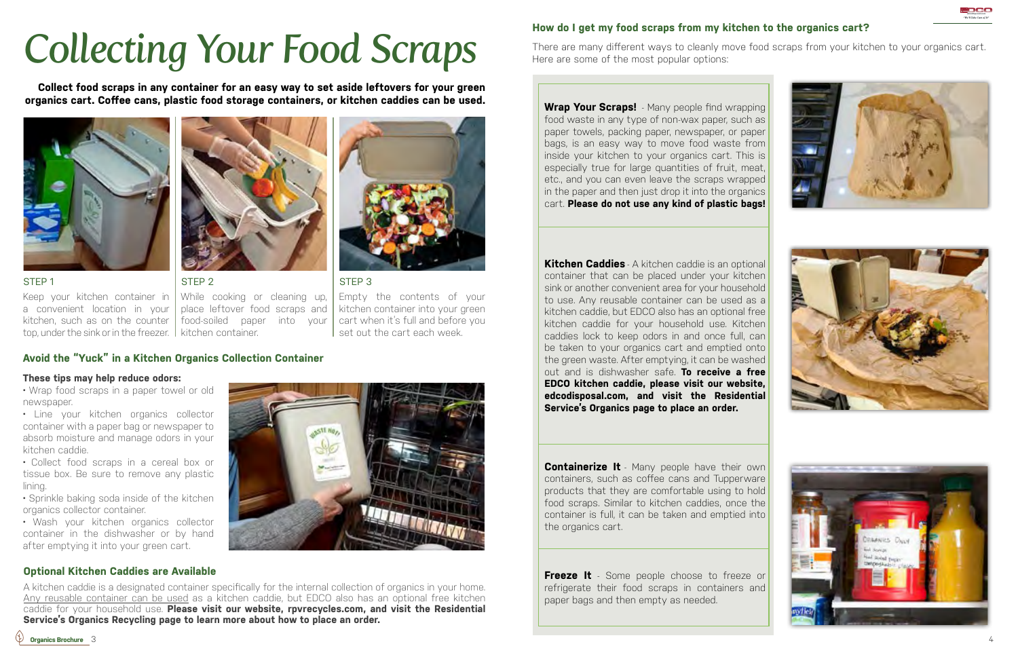



# *Collecting Your Food Scraps*

**Collect food scraps in any container for an easy way to set aside leftovers for your green organics cart. Coffee cans, plastic food storage containers, or kitchen caddies can be used.**



While cooking or cleaning up, place leftover food scraps and food-soiled paper into your kitchen container.

STEP 1

Keep your kitchen container in a convenient location in your kitchen, such as on the counter top, under the sink or in the freezer.



STEP 2

STEP 3

Empty the contents of your kitchen container into your green cart when it's full and before you set out the cart each week.

# **Avoid the "Yuck" in a Kitchen Organics Collection Container**

### **These tips may help reduce odors:**

• Wrap food scraps in a paper towel or old newspaper.

• Line your kitchen organics collector container with a paper bag or newspaper to absorb moisture and manage odors in your kitchen caddie.

• Collect food scraps in a cereal box or tissue box. Be sure to remove any plastic lining.

• Sprinkle baking soda inside of the kitchen organics collector container.

• Wash your kitchen organics collector container in the dishwasher or by hand after emptying it into your green cart.



**Optional Kitchen Caddies are Available** A kitchen caddie is a designated container specifically for the internal collection of organics in your home. Any reusable container can be used as a kitchen caddie, but EDCO also has an optional free kitchen

caddie for your household use. **Please visit our website, rpvrecycles.com, and visit the Residential** 



**Containerize It** - Many people have their own containers, such as coffee cans and Tupperware products that they are comfortable using to hold food scraps. Similar to kitchen caddies, once the container is full, it can be taken and emptied into the organics cart.

**Service's Organics Recycling page to learn more about how to place an order.**

**Freeze It** - Some people choose to freeze or refrigerate their food scraps in containers and paper bags and then empty as needed.

# **How do I get my food scraps from my kitchen to the organics cart?**

There are many different ways to cleanly move food scraps from your kitchen to your organics cart.







# Here are some of the most popular options:

**Wrap Your Scraps!** - Many people find wrapping food waste in any type of non-wax paper, such as paper towels, packing paper, newspaper, or paper bags, is an easy way to move food waste from inside your kitchen to your organics cart. This is especially true for large quantities of fruit, meat, etc., and you can even leave the scraps wrapped in the paper and then just drop it into the organics cart. **Please do not use any kind of plastic bags!**

**Kitchen Caddies** - A kitchen caddie is an optional container that can be placed under your kitchen sink or another convenient area for your household to use. Any reusable container can be used as a kitchen caddie, but EDCO also has an optional free kitchen caddie for your household use. Kitchen caddies lock to keep odors in and once full, can be taken to your organics cart and emptied onto the green waste. After emptying, it can be washed out and is dishwasher safe. **To receive a free EDCO kitchen caddie, please visit our website, edcodisposal.com, and visit the Residential Service's Organics page to place an order.**